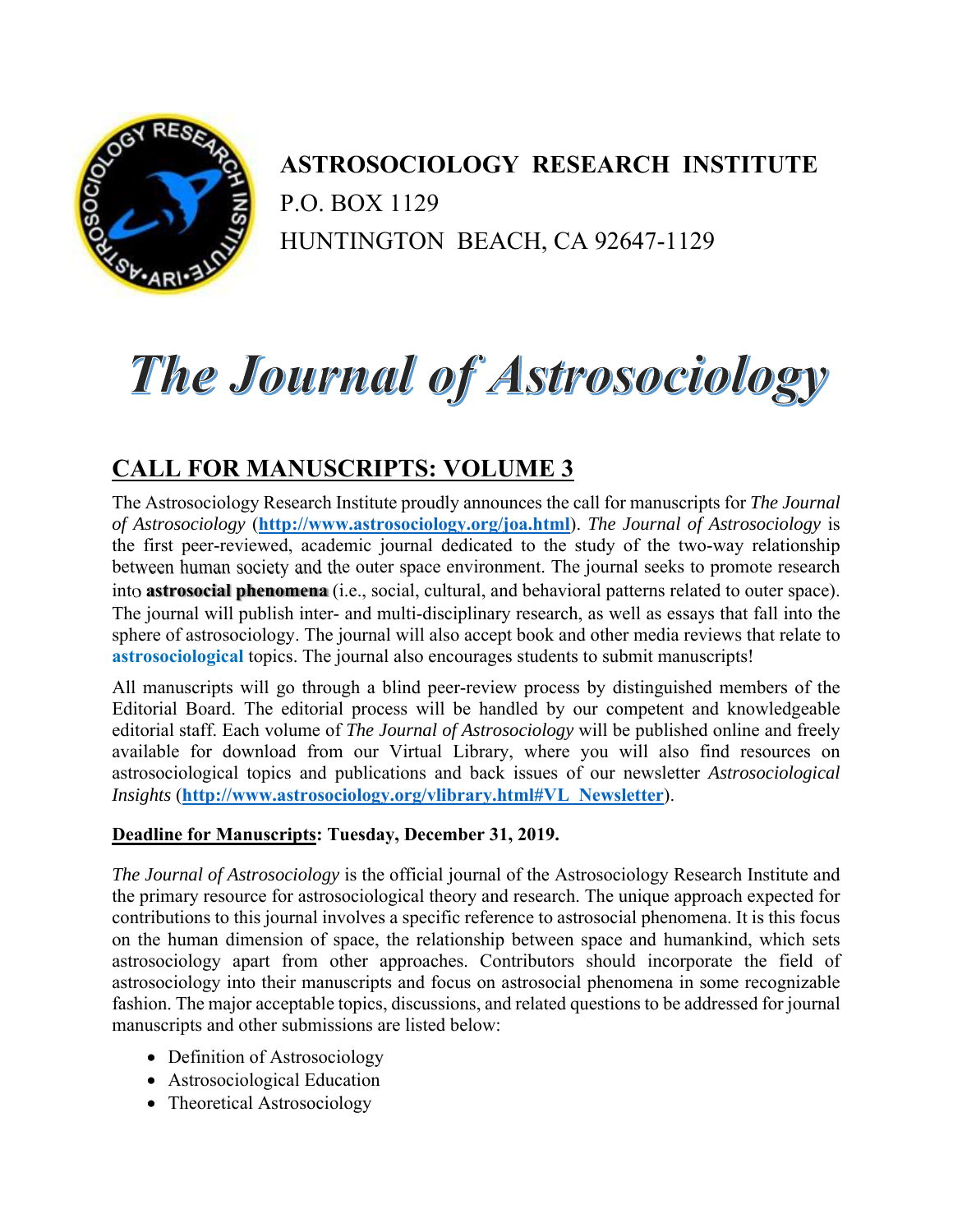

 **ASTROSOCIOLOGY RESEARCH INSTITUTE**  P.O. BOX 1129 HUNTINGTON BEACH, CA 92647-1129

## The Journal of Astrosociology

## **CALL FOR MANUSCRIPTS: VOLUME 3**

The Astrosociology Research Institute proudly announces the call for manuscripts for *The Journal of Astrosociology* (**http://www.astrosociology.org/joa.html**). *The Journal of Astrosociology* is the first peer-reviewed, academic journal dedicated to the study of the two-way relationship between human society and the outer space environment. The journal seeks to promote research into **astrosocial phenomena** (i.e., social, cultural, and behavioral patterns related to outer space). The journal will publish inter- and multi-disciplinary research, as well as essays that fall into the sphere of astrosociology. The journal will also accept book and other media reviews that relate to **astrosociological** topics. The journal also encourages students to submit manuscripts!

All manuscripts will go through a blind peer-review process by distinguished members of the Editorial Board. The editorial process will be handled by our competent and knowledgeable editorial staff. Each volume of *The Journal of Astrosociology* will be published online and freely available for download from our Virtual Library, where you will also find resources on astrosociological topics and publications and back issues of our newsletter *Astrosociological Insights* (**http://www.astrosociology.org/vlibrary.html#VL\_Newsletter**).

## **Deadline for Manuscripts: Tuesday, December 31, 2019.**

*The Journal of Astrosociology* is the official journal of the Astrosociology Research Institute and the primary resource for astrosociological theory and research. The unique approach expected for contributions to this journal involves a specific reference to astrosocial phenomena. It is this focus on the human dimension of space, the relationship between space and humankind, which sets astrosociology apart from other approaches. Contributors should incorporate the field of astrosociology into their manuscripts and focus on astrosocial phenomena in some recognizable fashion. The major acceptable topics, discussions, and related questions to be addressed for journal manuscripts and other submissions are listed below:

- Definition of Astrosociology
- Astrosociological Education
- Theoretical Astrosociology